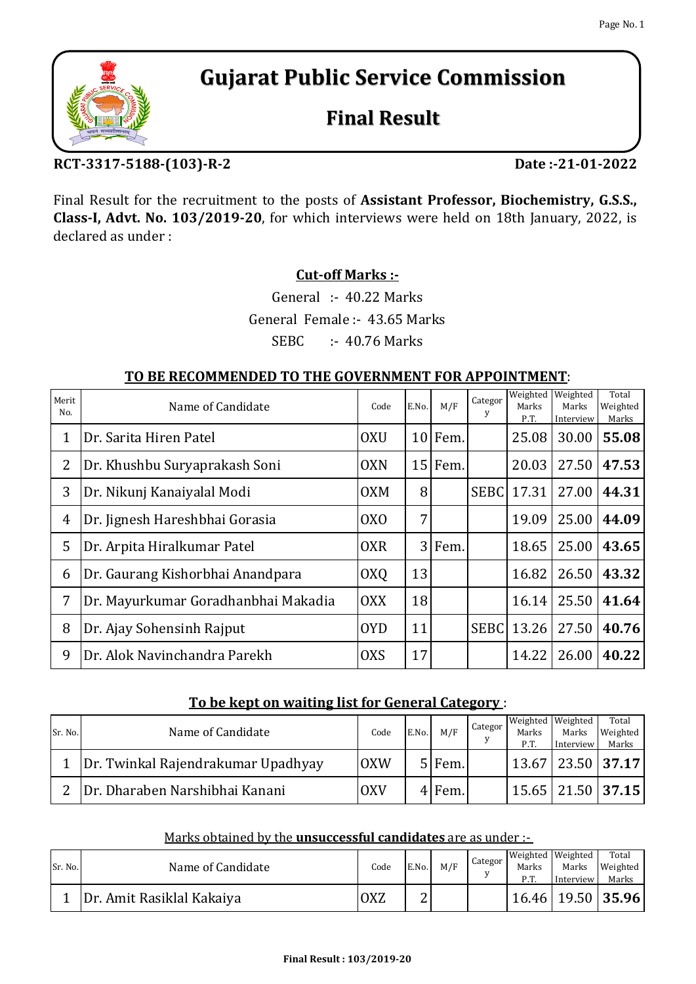# **Gujarat Public Service Commission**

# **Final Result**

# **RCT-3317-5188-(103)-R-2 Date :-21-01-2022**

Final Result for the recruitment to the posts of **Assistant Professor, Biochemistry, G.S.S., Class-I, Advt. No. 103/2019-20**, for which interviews were held on 18th January, 2022, is declared as under :

# **Cut-off Marks :-**

SEBC :- 40.76 Marks General Female :- 43.65 Marks General :- 40.22 Marks

## **TO BE RECOMMENDED TO THE GOVERNMENT FOR APPOINTMENT**:

| Merit<br>No. | Name of Candidate                   | Code            | E.No.          | M/F       | Categor<br>y | Weighted<br>Marks<br>P.T. | Weighted<br>Marks<br>Interview | Total<br>Weighted<br>Marks |
|--------------|-------------------------------------|-----------------|----------------|-----------|--------------|---------------------------|--------------------------------|----------------------------|
| 1            | Dr. Sarita Hiren Patel              | <b>OXU</b>      |                | $10$ Fem. |              | 25.08                     | 30.00                          | 55.08                      |
| 2            | Dr. Khushbu Suryaprakash Soni       | <b>OXN</b>      |                | 15 Fem.   |              | 20.03                     | 27.50                          | 47.53                      |
| 3            | Dr. Nikunj Kanaiyalal Modi          | <b>OXM</b>      | 8 <sup>1</sup> |           | <b>SEBC</b>  | 17.31                     | 27.00                          | 44.31                      |
| 4            | Dr. Jignesh Hareshbhai Gorasia      | 0X <sub>0</sub> | 7 <sup>1</sup> |           |              | 19.09                     | 25.00                          | 44.09                      |
| 5            | Dr. Arpita Hiralkumar Patel         | <b>OXR</b>      |                | 3 Fem.    |              | 18.65                     | 25.00                          | 43.65                      |
| 6            | Dr. Gaurang Kishorbhai Anandpara    | OXQ             | 13             |           |              | 16.82                     | 26.50                          | 43.32                      |
| 7            | Dr. Mayurkumar Goradhanbhai Makadia | <b>OXX</b>      | 18             |           |              | 16.14                     | 25.50                          | 41.64                      |
| 8            | Dr. Ajay Sohensinh Rajput           | <b>OYD</b>      | 11             |           | <b>SEBC</b>  | 13.26                     | 27.50                          | 40.76                      |
| 9            | Dr. Alok Navinchandra Parekh        | <b>OXS</b>      | 17             |           |              | 14.22                     | 26.00                          | 40.22                      |

## **To be kept on waiting list for General Category** :

| Sr. No. | Name of Candidate                  | Code       | E.No. | M/F    | Categor | Weighted Weighted<br>Marks<br>P.T. | Marks<br>Interview | Total<br>Weighted<br>Marks    |
|---------|------------------------------------|------------|-------|--------|---------|------------------------------------|--------------------|-------------------------------|
|         | Dr. Twinkal Rajendrakumar Upadhyay | <b>OXW</b> |       | 5 Fem. |         |                                    |                    | $\vert$ 13.67   23.50   37.17 |
|         | Dr. Dharaben Narshibhai Kanani     | <b>OXV</b> |       | 4 Fem. |         |                                    |                    | 15.65   21.50   <b>37.15</b>  |

## Marks obtained by the **unsuccessful candidates** are as under :-

| Sr. No. | Name of Candidate         | Code            | E.No. | M/F | Categor | Weighted Weighted<br>Marks<br>P.T. | Marks<br>Interview | Total<br>Weighted<br>Marks |
|---------|---------------------------|-----------------|-------|-----|---------|------------------------------------|--------------------|----------------------------|
|         | Dr. Amit Rasiklal Kakaiya | OX <sub>Z</sub> |       |     |         |                                    |                    | $16.46$   19.50   35.96    |